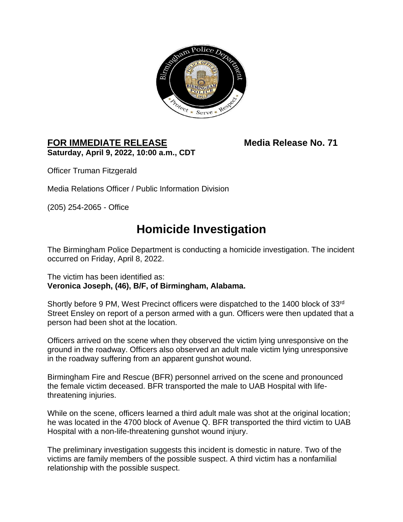

## FOR IMMEDIATE RELEASE Media Release No. 71 **Saturday, April 9, 2022, 10:00 a.m., CDT**

Officer Truman Fitzgerald

Media Relations Officer / Public Information Division

(205) 254-2065 - Office

## **Homicide Investigation**

The Birmingham Police Department is conducting a homicide investigation. The incident occurred on Friday, April 8, 2022.

The victim has been identified as: **Veronica Joseph, (46), B/F, of Birmingham, Alabama.** 

Shortly before 9 PM, West Precinct officers were dispatched to the 1400 block of 33rd Street Ensley on report of a person armed with a gun. Officers were then updated that a person had been shot at the location.

Officers arrived on the scene when they observed the victim lying unresponsive on the ground in the roadway. Officers also observed an adult male victim lying unresponsive in the roadway suffering from an apparent gunshot wound.

Birmingham Fire and Rescue (BFR) personnel arrived on the scene and pronounced the female victim deceased. BFR transported the male to UAB Hospital with lifethreatening injuries.

While on the scene, officers learned a third adult male was shot at the original location; he was located in the 4700 block of Avenue Q. BFR transported the third victim to UAB Hospital with a non-life-threatening gunshot wound injury.

The preliminary investigation suggests this incident is domestic in nature. Two of the victims are family members of the possible suspect. A third victim has a nonfamilial relationship with the possible suspect.